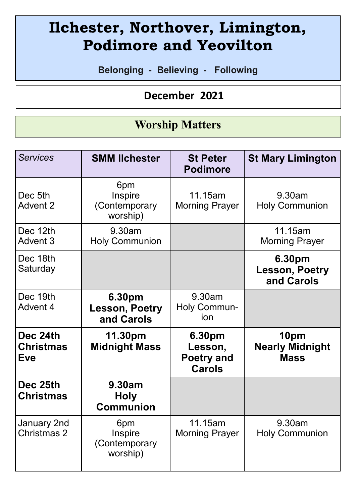# **Ilchester, Northover, Limington, Podimore and Yeovilton**

**Belonging - Believing - Following**

 **December 2021** 

## **Worship Matters**

| Services                                   | <b>SMM Ilchester</b>                          | <b>St Peter</b><br><b>Podimore</b>                      | <b>St Mary Limington</b>                      |
|--------------------------------------------|-----------------------------------------------|---------------------------------------------------------|-----------------------------------------------|
| Dec 5th<br>Advent 2                        | 6pm<br>Inspire<br>(Contemporary<br>worship)   | 11.15am<br><b>Morning Prayer</b>                        | 9.30am<br><b>Holy Communion</b>               |
| Dec 12th<br>Advent 3                       | 9.30am<br><b>Holy Communion</b>               |                                                         | 11.15am<br><b>Morning Prayer</b>              |
| Dec 18th<br>Saturday                       |                                               |                                                         | 6.30pm<br><b>Lesson, Poetry</b><br>and Carols |
| Dec 19th<br>Advent 4                       | 6.30pm<br><b>Lesson, Poetry</b><br>and Carols | 9.30am<br>Holy Commun-<br>ion                           |                                               |
| Dec 24th<br><b>Christmas</b><br><b>Eve</b> | 11.30pm<br><b>Midnight Mass</b>               | 6.30pm<br>Lesson,<br><b>Poetry and</b><br><b>Carols</b> | 10pm<br><b>Nearly Midnight</b><br><b>Mass</b> |
| Dec 25th<br>Christmas                      | 9.30am<br><b>Holy</b><br><b>Communion</b>     |                                                         |                                               |
| January 2nd<br>Christmas 2                 | 6pm<br>Inspire<br>(Contemporary<br>worship)   | 11.15am<br><b>Morning Prayer</b>                        | 9.30am<br><b>Holy Communion</b>               |